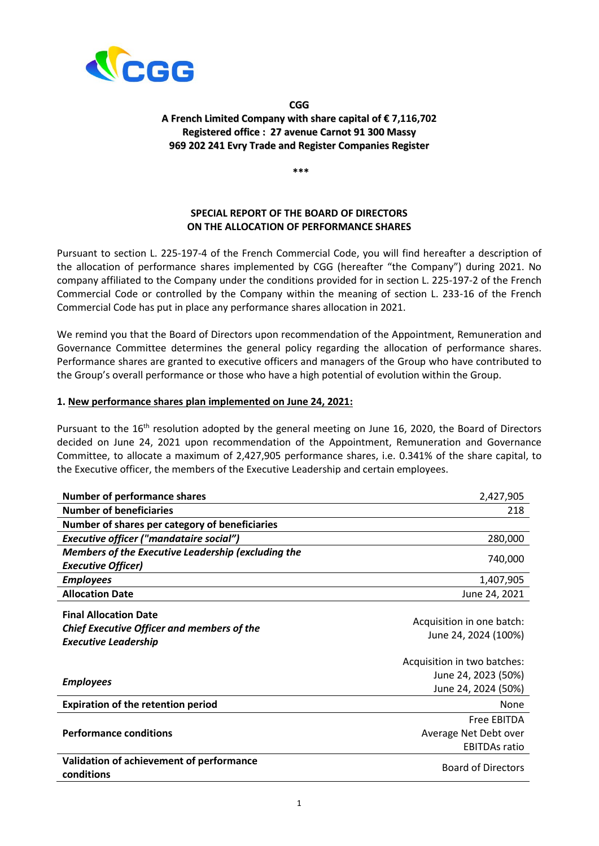

## **CGG A French Limited Company with share capital of € 7,116,702 Registered office : 27 avenue Carnot 91 300 Massy 969 202 241 Evry Trade and Register Companies Register**

**\*\*\***

# **SPECIAL REPORT OF THE BOARD OF DIRECTORS ON THE ALLOCATION OF PERFORMANCE SHARES**

Pursuant to section L. 225-197-4 of the French Commercial Code, you will find hereafter a description of the allocation of performance shares implemented by CGG (hereafter "the Company") during 2021. No company affiliated to the Company under the conditions provided for in section L. 225-197-2 of the French Commercial Code or controlled by the Company within the meaning of section L. 233-16 of the French Commercial Code has put in place any performance shares allocation in 2021.

We remind you that the Board of Directors upon recommendation of the Appointment, Remuneration and Governance Committee determines the general policy regarding the allocation of performance shares. Performance shares are granted to executive officers and managers of the Group who have contributed to the Group's overall performance or those who have a high potential of evolution within the Group.

### **1. New performance shares plan implemented on June 24, 2021:**

Pursuant to the 16<sup>th</sup> resolution adopted by the general meeting on June 16, 2020, the Board of Directors decided on June 24, 2021 upon recommendation of the Appointment, Remuneration and Governance Committee, to allocate a maximum of 2,427,905 performance shares, i.e. 0.341% of the share capital, to the Executive officer, the members of the Executive Leadership and certain employees.

| <b>Number of performance shares</b>                                                                              | 2,427,905                                          |
|------------------------------------------------------------------------------------------------------------------|----------------------------------------------------|
| <b>Number of beneficiaries</b>                                                                                   | 218                                                |
| Number of shares per category of beneficiaries                                                                   |                                                    |
| <b>Executive officer ("mandataire social")</b>                                                                   | 280,000                                            |
| <b>Members of the Executive Leadership (excluding the</b>                                                        |                                                    |
| <b>Executive Officer)</b>                                                                                        | 740,000                                            |
| <b>Employees</b>                                                                                                 | 1,407,905                                          |
| <b>Allocation Date</b>                                                                                           | June 24, 2021                                      |
| <b>Final Allocation Date</b><br><b>Chief Executive Officer and members of the</b><br><b>Executive Leadership</b> | Acquisition in one batch:<br>June 24, 2024 (100%)  |
|                                                                                                                  | Acquisition in two batches:<br>June 24, 2023 (50%) |
| <b>Employees</b>                                                                                                 | June 24, 2024 (50%)                                |
| <b>Expiration of the retention period</b>                                                                        | None                                               |
|                                                                                                                  | <b>Free EBITDA</b>                                 |
| <b>Performance conditions</b>                                                                                    | Average Net Debt over<br><b>EBITDAs ratio</b>      |
| Validation of achievement of performance<br>conditions                                                           | <b>Board of Directors</b>                          |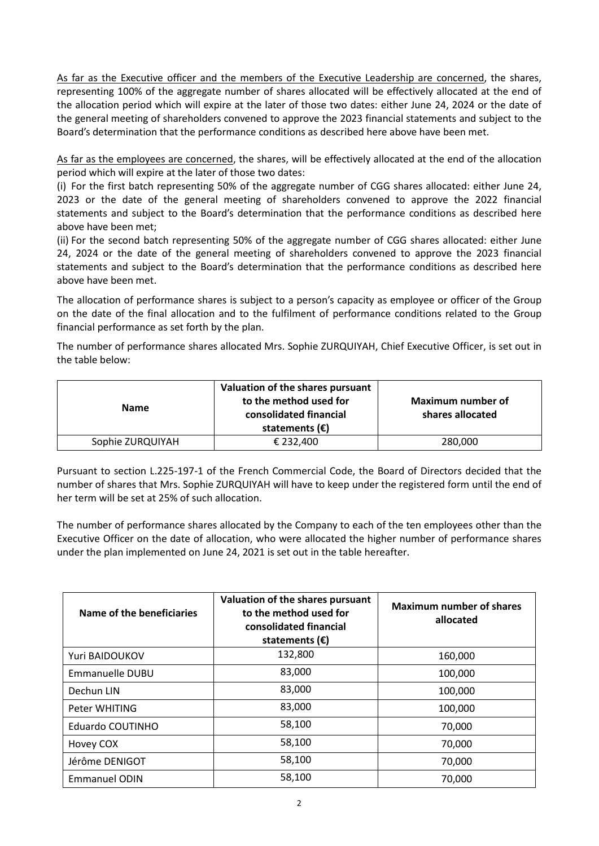As far as the Executive officer and the members of the Executive Leadership are concerned, the shares, representing 100% of the aggregate number of shares allocated will be effectively allocated at the end of the allocation period which will expire at the later of those two dates: either June 24, 2024 or the date of the general meeting of shareholders convened to approve the 2023 financial statements and subject to the Board's determination that the performance conditions as described here above have been met.

As far as the employees are concerned, the shares, will be effectively allocated at the end of the allocation period which will expire at the later of those two dates:

(i) For the first batch representing 50% of the aggregate number of CGG shares allocated: either June 24, 2023 or the date of the general meeting of shareholders convened to approve the 2022 financial statements and subject to the Board's determination that the performance conditions as described here above have been met;

(ii) For the second batch representing 50% of the aggregate number of CGG shares allocated: either June 24, 2024 or the date of the general meeting of shareholders convened to approve the 2023 financial statements and subject to the Board's determination that the performance conditions as described here above have been met.

The allocation of performance shares is subject to a person's capacity as employee or officer of the Group on the date of the final allocation and to the fulfilment of performance conditions related to the Group financial performance as set forth by the plan.

The number of performance shares allocated Mrs. Sophie ZURQUIYAH, Chief Executive Officer, is set out in the table below:

| <b>Name</b>      | Valuation of the shares pursuant<br>to the method used for<br>consolidated financial<br>statements $(\epsilon)$ | Maximum number of<br>shares allocated |
|------------------|-----------------------------------------------------------------------------------------------------------------|---------------------------------------|
| Sophie ZURQUIYAH | € 232.400                                                                                                       | 280,000                               |

Pursuant to section L.225-197-1 of the French Commercial Code, the Board of Directors decided that the number of shares that Mrs. Sophie ZURQUIYAH will have to keep under the registered form until the end of her term will be set at 25% of such allocation.

The number of performance shares allocated by the Company to each of the ten employees other than the Executive Officer on the date of allocation, who were allocated the higher number of performance shares under the plan implemented on June 24, 2021 is set out in the table hereafter.

| Name of the beneficiaries | Valuation of the shares pursuant<br>to the method used for<br>consolidated financial<br>statements $(\epsilon)$ | <b>Maximum number of shares</b><br>allocated |
|---------------------------|-----------------------------------------------------------------------------------------------------------------|----------------------------------------------|
| Yuri BAIDOUKOV            | 132,800                                                                                                         | 160,000                                      |
| Emmanuelle DUBU           | 83,000                                                                                                          | 100,000                                      |
| Dechun LIN                | 83,000                                                                                                          | 100,000                                      |
| Peter WHITING             | 83,000                                                                                                          | 100,000                                      |
| Eduardo COUTINHO          | 58,100                                                                                                          | 70,000                                       |
| Hovey COX                 | 58,100                                                                                                          | 70,000                                       |
| Jérôme DENIGOT            | 58,100                                                                                                          | 70,000                                       |
| <b>Emmanuel ODIN</b>      | 58,100                                                                                                          | 70,000                                       |